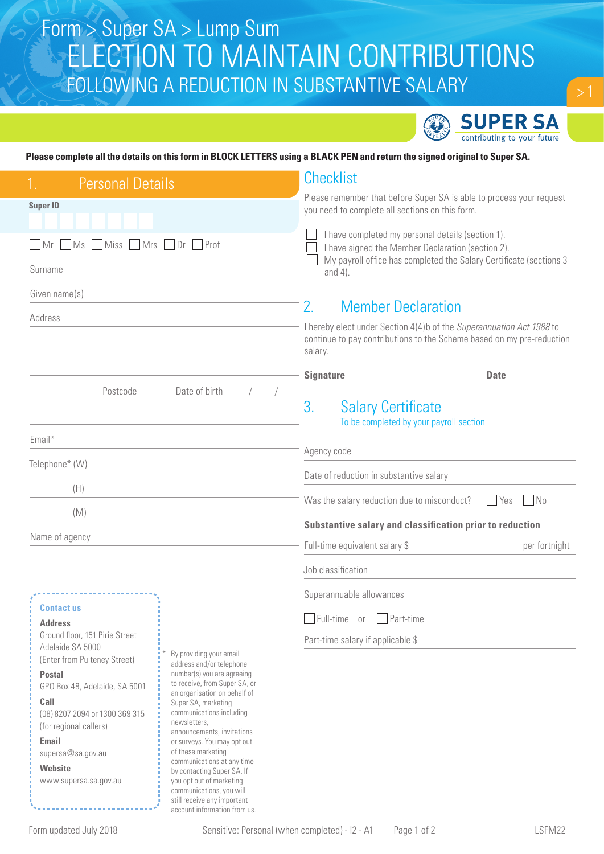# ELECTION TO MAINTAIN CONTRIBUTIONS FOLLOWING A REDUCTION IN SUBSTANTIVE SALARY Form > Super SA > Lump Sum



### **Please complete all the details on this form in BLOCK LETTERS using a BLACK PEN and return the signed original to Super SA.**

| <b>Personal Details</b>                                                                                                  |                                                                                                 |                                                                                                                                                          | <b>Checklist</b>                                                                                                                                                             |             |  |
|--------------------------------------------------------------------------------------------------------------------------|-------------------------------------------------------------------------------------------------|----------------------------------------------------------------------------------------------------------------------------------------------------------|------------------------------------------------------------------------------------------------------------------------------------------------------------------------------|-------------|--|
| <b>Super ID</b>                                                                                                          |                                                                                                 |                                                                                                                                                          | Please remember that before Super SA is able to process your request<br>you need to complete all sections on this form.                                                      |             |  |
| Miss Mrs Dr<br>Prof<br>MS<br>  Mr                                                                                        |                                                                                                 |                                                                                                                                                          | I have completed my personal details (section 1).<br>I have signed the Member Declaration (section 2).<br>My payroll office has completed the Salary Certificate (sections 3 |             |  |
| Surname                                                                                                                  |                                                                                                 |                                                                                                                                                          | and $4$ ).                                                                                                                                                                   |             |  |
| Given name(s)                                                                                                            |                                                                                                 | 2.                                                                                                                                                       | <b>Member Declaration</b>                                                                                                                                                    |             |  |
| Address                                                                                                                  |                                                                                                 | I hereby elect under Section 4(4)b of the Superannuation Act 1988 to<br>continue to pay contributions to the Scheme based on my pre-reduction<br>salary. |                                                                                                                                                                              |             |  |
|                                                                                                                          |                                                                                                 | <b>Signature</b>                                                                                                                                         |                                                                                                                                                                              | <b>Date</b> |  |
| Date of birth<br>Postcode                                                                                                |                                                                                                 | 3.                                                                                                                                                       | <b>Salary Certificate</b><br>To be completed by your payroll section                                                                                                         |             |  |
| Email*                                                                                                                   |                                                                                                 |                                                                                                                                                          | Agency code                                                                                                                                                                  |             |  |
| Telephone* (W)                                                                                                           |                                                                                                 |                                                                                                                                                          |                                                                                                                                                                              |             |  |
| (H)                                                                                                                      |                                                                                                 |                                                                                                                                                          | Date of reduction in substantive salary                                                                                                                                      |             |  |
| (M)                                                                                                                      |                                                                                                 |                                                                                                                                                          | Was the salary reduction due to misconduct?<br>No<br>Yes<br>Substantive salary and classification prior to reduction                                                         |             |  |
| Name of agency                                                                                                           |                                                                                                 |                                                                                                                                                          |                                                                                                                                                                              |             |  |
|                                                                                                                          |                                                                                                 | Full-time equivalent salary \$<br>per fortnight                                                                                                          |                                                                                                                                                                              |             |  |
|                                                                                                                          |                                                                                                 | Job classification                                                                                                                                       |                                                                                                                                                                              |             |  |
|                                                                                                                          |                                                                                                 |                                                                                                                                                          | Superannuable allowances                                                                                                                                                     |             |  |
| <b>Contact us</b><br><b>Address</b>                                                                                      |                                                                                                 | Part-time<br>Full-time<br>0r                                                                                                                             |                                                                                                                                                                              |             |  |
| Ground floor, 151 Pirie Street<br>Adelaide SA 5000                                                                       |                                                                                                 |                                                                                                                                                          | Part-time salary if applicable \$                                                                                                                                            |             |  |
| (Enter from Pulteney Street)                                                                                             | By providing your email<br>address and/or telephone                                             |                                                                                                                                                          |                                                                                                                                                                              |             |  |
| <b>Postal</b><br>GPO Box 48, Adelaide, SA 5001                                                                           | number(s) you are agreeing<br>to receive, from Super SA, or                                     |                                                                                                                                                          |                                                                                                                                                                              |             |  |
| Call                                                                                                                     | an organisation on behalf of<br>Super SA, marketing<br>communications including                 |                                                                                                                                                          |                                                                                                                                                                              |             |  |
| (08) 8207 2094 or 1300 369 315<br>(for regional callers)                                                                 | newsletters,<br>announcements, invitations<br>or surveys. You may opt out<br>of these marketing |                                                                                                                                                          |                                                                                                                                                                              |             |  |
| <b>Email</b><br>supersa@sa.gov.au                                                                                        |                                                                                                 |                                                                                                                                                          |                                                                                                                                                                              |             |  |
| communications at any time<br>Website<br>by contacting Super SA. If<br>you opt out of marketing<br>www.supersa.sa.gov.au |                                                                                                 |                                                                                                                                                          |                                                                                                                                                                              |             |  |
|                                                                                                                          |                                                                                                 |                                                                                                                                                          |                                                                                                                                                                              |             |  |

communications, you will still receive any important account information from us.